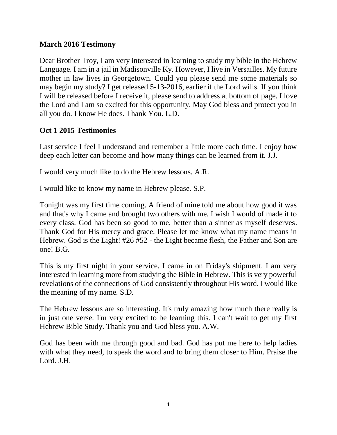### **March 2016 Testimony**

Dear Brother Troy, I am very interested in learning to study my bible in the Hebrew Language. I am in a jail in Madisonville Ky. However, I live in Versailles. My future mother in law lives in Georgetown. Could you please send me some materials so may begin my study? I get released 5-13-2016, earlier if the Lord wills. If you think I will be released before I receive it, please send to address at bottom of page. I love the Lord and I am so excited for this opportunity. May God bless and protect you in all you do. I know He does. Thank You. L.D.

## **Oct 1 2015 Testimonies**

Last service I feel I understand and remember a little more each time. I enjoy how deep each letter can become and how many things can be learned from it. J.J.

I would very much like to do the Hebrew lessons. A.R.

I would like to know my name in Hebrew please. S.P.

Tonight was my first time coming. A friend of mine told me about how good it was and that's why I came and brought two others with me. I wish I would of made it to every class. God has been so good to me, better than a sinner as myself deserves. Thank God for His mercy and grace. Please let me know what my name means in Hebrew. God is the Light! #26 #52 - the Light became flesh, the Father and Son are one! B.G.

This is my first night in your service. I came in on Friday's shipment. I am very interested in learning more from studying the Bible in Hebrew. This is very powerful revelations of the connections of God consistently throughout His word. I would like the meaning of my name. S.D.

The Hebrew lessons are so interesting. It's truly amazing how much there really is in just one verse. I'm very excited to be learning this. I can't wait to get my first Hebrew Bible Study. Thank you and God bless you. A.W.

God has been with me through good and bad. God has put me here to help ladies with what they need, to speak the word and to bring them closer to Him. Praise the Lord. J.H.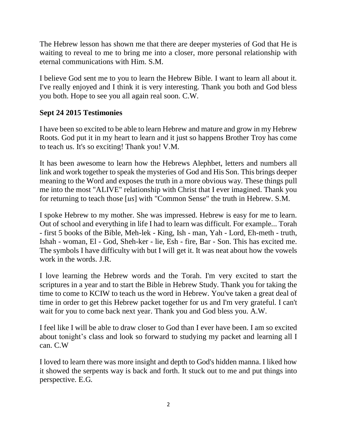The Hebrew lesson has shown me that there are deeper mysteries of God that He is waiting to reveal to me to bring me into a closer, more personal relationship with eternal communications with Him. S.M.

I believe God sent me to you to learn the Hebrew Bible. I want to learn all about it. I've really enjoyed and I think it is very interesting. Thank you both and God bless you both. Hope to see you all again real soon. C.W.

## **Sept 24 2015 Testimonies**

I have been so excited to be able to learn Hebrew and mature and grow in my Hebrew Roots. God put it in my heart to learn and it just so happens Brother Troy has come to teach us. It's so exciting! Thank you! V.M.

It has been awesome to learn how the Hebrews Alephbet, letters and numbers all link and work together to speak the mysteries of God and His Son. This brings deeper meaning to the Word and exposes the truth in a more obvious way. These things pull me into the most "ALIVE" relationship with Christ that I ever imagined. Thank you for returning to teach those [*us*] with "Common Sense" the truth in Hebrew. S.M.

I spoke Hebrew to my mother. She was impressed. Hebrew is easy for me to learn. Out of school and everything in life I had to learn was difficult. For example... Torah - first 5 books of the Bible, Meh-lek - King, Ish - man, Yah - Lord, Eh-meth - truth, Ishah - woman, El - God, Sheh-ker - lie, Esh - fire, Bar - Son. This has excited me. The symbols I have difficulty with but I will get it. It was neat about how the vowels work in the words. J.R.

I love learning the Hebrew words and the Torah. I'm very excited to start the scriptures in a year and to start the Bible in Hebrew Study. Thank you for taking the time to come to KCIW to teach us the word in Hebrew. You've taken a great deal of time in order to get this Hebrew packet together for us and I'm very grateful. I can't wait for you to come back next year. Thank you and God bless you. A.W.

I feel like I will be able to draw closer to God than I ever have been. I am so excited about tonight's class and look so forward to studying my packet and learning all I can. C.W

I loved to learn there was more insight and depth to God's hidden manna. I liked how it showed the serpents way is back and forth. It stuck out to me and put things into perspective. E.G.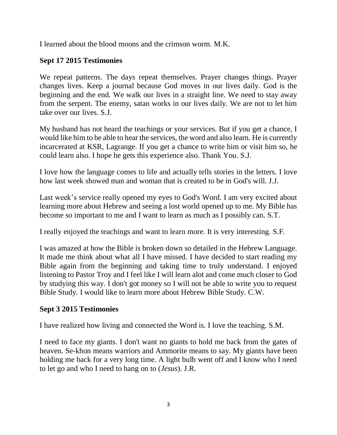I learned about the blood moons and the crimson worm. M.K.

## **Sept 17 2015 Testimonies**

We repeat patterns. The days repeat themselves. Prayer changes things. Prayer changes lives. Keep a journal because God moves in our lives daily. God is the beginning and the end. We walk our lives in a straight line. We need to stay away from the serpent. The enemy, satan works in our lives daily. We are not to let him take over our lives. S.J.

My husband has not heard the teachings or your services. But if you get a chance, I would like him to be able to hear the services, the word and also learn. He is currently incarcerated at KSR, Lagrange. If you get a chance to write him or visit him so, he could learn also. I hope he gets this experience also. Thank You. S.J.

I love how the language comes to life and actually tells stories in the letters. I love how last week showed man and woman that is created to be in God's will. J.J.

Last week's service really opened my eyes to God's Word. I am very excited about learning more about Hebrew and seeing a lost world opened up to me. My Bible has become so important to me and I want to learn as much as I possibly can. S.T.

I really enjoyed the teachings and want to learn more. It is very interesting. S.F.

I was amazed at how the Bible is broken down so detailed in the Hebrew Language. It made me think about what all I have missed. I have decided to start reading my Bible again from the beginning and taking time to truly understand. I enjoyed listening to Pastor Troy and I feel like I will learn alot and come much closer to God by studying this way. I don't got money so I will not be able to write you to request Bible Study. I would like to learn more about Hebrew Bible Study. C.W.

## **Sept 3 2015 Testimonies**

I have realized how living and connected the Word is. I love the teaching. S.M.

I need to face my giants. I don't want no giants to hold me back from the gates of heaven. Se-khon means warriors and Ammorite means to say. My giants have been holding me back for a very long time. A light bulb went off and I know who I need to let go and who I need to hang on to (*Jesus*). J.R.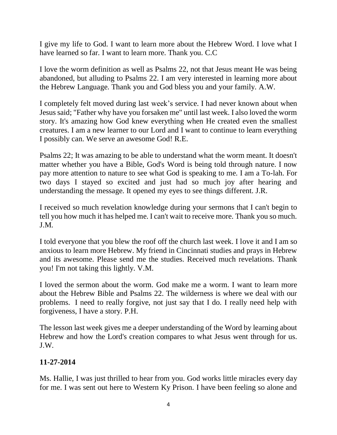I give my life to God. I want to learn more about the Hebrew Word. I love what I have learned so far. I want to learn more. Thank you. C.C

I love the worm definition as well as Psalms 22, not that Jesus meant He was being abandoned, but alluding to Psalms 22. I am very interested in learning more about the Hebrew Language. Thank you and God bless you and your family. A.W.

I completely felt moved during last week's service. I had never known about when Jesus said; "Father why have you forsaken me" until last week. I also loved the worm story. It's amazing how God knew everything when He created even the smallest creatures. I am a new learner to our Lord and I want to continue to learn everything I possibly can. We serve an awesome God! R.E.

Psalms 22; It was amazing to be able to understand what the worm meant. It doesn't matter whether you have a Bible, God's Word is being told through nature. I now pay more attention to nature to see what God is speaking to me. I am a To-lah. For two days I stayed so excited and just had so much joy after hearing and understanding the message. It opened my eyes to see things different. J.R.

I received so much revelation knowledge during your sermons that I can't begin to tell you how much it has helped me. I can't wait to receive more. Thank you so much. J.M.

I told everyone that you blew the roof off the church last week. I love it and I am so anxious to learn more Hebrew. My friend in Cincinnati studies and prays in Hebrew and its awesome. Please send me the studies. Received much revelations. Thank you! I'm not taking this lightly. V.M.

I loved the sermon about the worm. God make me a worm. I want to learn more about the Hebrew Bible and Psalms 22. The wilderness is where we deal with our problems. I need to really forgive, not just say that I do. I really need help with forgiveness, I have a story. P.H.

The lesson last week gives me a deeper understanding of the Word by learning about Hebrew and how the Lord's creation compares to what Jesus went through for us. J.W.

## **11-27-2014**

Ms. Hallie, I was just thrilled to hear from you. God works little miracles every day for me. I was sent out here to Western Ky Prison. I have been feeling so alone and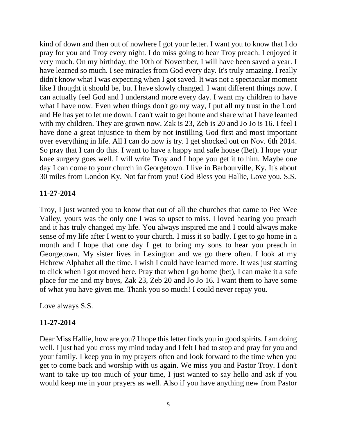kind of down and then out of nowhere I got your letter. I want you to know that I do pray for you and Troy every night. I do miss going to hear Troy preach. I enjoyed it very much. On my birthday, the 10th of November, I will have been saved a year. I have learned so much. I see miracles from God every day. It's truly amazing. I really didn't know what I was expecting when I got saved. It was not a spectacular moment like I thought it should be, but I have slowly changed. I want different things now. I can actually feel God and I understand more every day. I want my children to have what I have now. Even when things don't go my way, I put all my trust in the Lord and He has yet to let me down. I can't wait to get home and share what I have learned with my children. They are grown now. Zak is 23, Zeb is 20 and Jo Jo is 16. I feel I have done a great injustice to them by not instilling God first and most important over everything in life. All I can do now is try. I get shocked out on Nov. 6th 2014. So pray that I can do this. I want to have a happy and safe house (Bet). I hope your knee surgery goes well. I will write Troy and I hope you get it to him. Maybe one day I can come to your church in Georgetown. I live in Barbourville, Ky. It's about 30 miles from London Ky. Not far from you! God Bless you Hallie, Love you. S.S.

### **11-27-2014**

Troy, I just wanted you to know that out of all the churches that came to Pee Wee Valley, yours was the only one I was so upset to miss. I loved hearing you preach and it has truly changed my life. You always inspired me and I could always make sense of my life after I went to your church. I miss it so badly. I get to go home in a month and I hope that one day I get to bring my sons to hear you preach in Georgetown. My sister lives in Lexington and we go there often. I look at my Hebrew Alphabet all the time. I wish I could have learned more. It was just starting to click when I got moved here. Pray that when I go home (bet), I can make it a safe place for me and my boys, Zak 23, Zeb 20 and Jo Jo 16. I want them to have some of what you have given me. Thank you so much! I could never repay you.

Love always S.S.

#### **11-27-2014**

Dear Miss Hallie, how are you? I hope this letter finds you in good spirits. I am doing well. I just had you cross my mind today and I felt I had to stop and pray for you and your family. I keep you in my prayers often and look forward to the time when you get to come back and worship with us again. We miss you and Pastor Troy. I don't want to take up too much of your time, I just wanted to say hello and ask if you would keep me in your prayers as well. Also if you have anything new from Pastor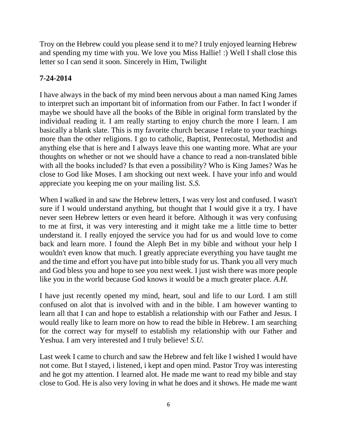Troy on the Hebrew could you please send it to me? I truly enjoyed learning Hebrew and spending my time with you. We love you Miss Hallie! :) Well I shall close this letter so I can send it soon. Sincerely in Him, Twilight

# **7-24-2014**

I have always in the back of my mind been nervous about a man named King James to interpret such an important bit of information from our Father. In fact I wonder if maybe we should have all the books of the Bible in original form translated by the individual reading it. I am really starting to enjoy church the more I learn. I am basically a blank slate. This is my favorite church because I relate to your teachings more than the other religions. I go to catholic, Baptist, Pentecostal, Methodist and anything else that is here and I always leave this one wanting more. What are your thoughts on whether or not we should have a chance to read a non-translated bible with all the books included? Is that even a possibility? Who is King James? Was he close to God like Moses. I am shocking out next week. I have your info and would appreciate you keeping me on your mailing list. *S.S.*

When I walked in and saw the Hebrew letters, I was very lost and confused. I wasn't sure if I would understand anything, but thought that I would give it a try. I have never seen Hebrew letters or even heard it before. Although it was very confusing to me at first, it was very interesting and it might take me a little time to better understand it. I really enjoyed the service you had for us and would love to come back and learn more. I found the Aleph Bet in my bible and without your help I wouldn't even know that much. I greatly appreciate everything you have taught me and the time and effort you have put into bible study for us. Thank you all very much and God bless you and hope to see you next week. I just wish there was more people like you in the world because God knows it would be a much greater place. *A.H.*

I have just recently opened my mind, heart, soul and life to our Lord. I am still confused on alot that is involved with and in the bible. I am however wanting to learn all that I can and hope to establish a relationship with our Father and Jesus. I would really like to learn more on how to read the bible in Hebrew. I am searching for the correct way for myself to establish my relationship with our Father and Yeshua. I am very interested and I truly believe! *S.U.*

Last week I came to church and saw the Hebrew and felt like I wished I would have not come. But I stayed, i listened, i kept and open mind. Pastor Troy was interesting and he got my attention. I learned alot. He made me want to read my bible and stay close to God. He is also very loving in what he does and it shows. He made me want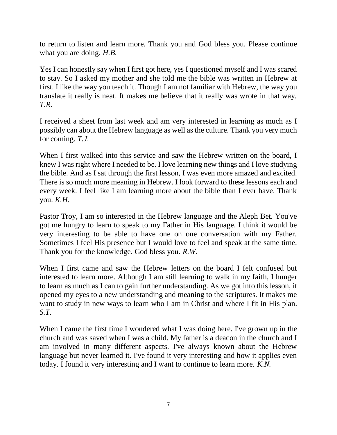to return to listen and learn more. Thank you and God bless you. Please continue what you are doing. *H.B.*

Yes I can honestly say when I first got here, yes I questioned myself and I was scared to stay. So I asked my mother and she told me the bible was written in Hebrew at first. I like the way you teach it. Though I am not familiar with Hebrew, the way you translate it really is neat. It makes me believe that it really was wrote in that way. *T.R.*

I received a sheet from last week and am very interested in learning as much as I possibly can about the Hebrew language as well as the culture. Thank you very much for coming. *T.J.*

When I first walked into this service and saw the Hebrew written on the board, I knew I was right where I needed to be. I love learning new things and I love studying the bible. And as I sat through the first lesson, I was even more amazed and excited. There is so much more meaning in Hebrew. I look forward to these lessons each and every week. I feel like I am learning more about the bible than I ever have. Thank you. *K.H.*

Pastor Troy, I am so interested in the Hebrew language and the Aleph Bet. You've got me hungry to learn to speak to my Father in His language. I think it would be very interesting to be able to have one on one conversation with my Father. Sometimes I feel His presence but I would love to feel and speak at the same time. Thank you for the knowledge. God bless you. *R.W.*

When I first came and saw the Hebrew letters on the board I felt confused but interested to learn more. Although I am still learning to walk in my faith, I hunger to learn as much as I can to gain further understanding. As we got into this lesson, it opened my eyes to a new understanding and meaning to the scriptures. It makes me want to study in new ways to learn who I am in Christ and where I fit in His plan. *S.T.*

When I came the first time I wondered what I was doing here. I've grown up in the church and was saved when I was a child. My father is a deacon in the church and I am involved in many different aspects. I've always known about the Hebrew language but never learned it. I've found it very interesting and how it applies even today. I found it very interesting and I want to continue to learn more. *K.N.*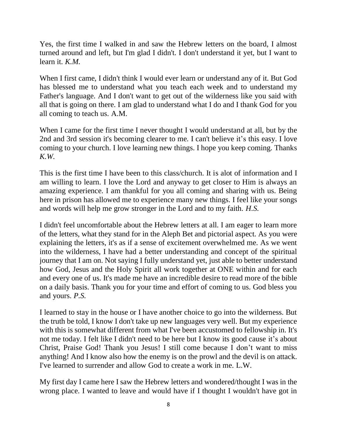Yes, the first time I walked in and saw the Hebrew letters on the board, I almost turned around and left, but I'm glad I didn't. I don't understand it yet, but I want to learn it. *K.M.*

When I first came, I didn't think I would ever learn or understand any of it. But God has blessed me to understand what you teach each week and to understand my Father's language. And I don't want to get out of the wilderness like you said with all that is going on there. I am glad to understand what I do and I thank God for you all coming to teach us. A.M.

When I came for the first time I never thought I would understand at all, but by the 2nd and 3rd session it's becoming clearer to me. I can't believe it's this easy. I love coming to your church. I love learning new things. I hope you keep coming. Thanks *K.W.*

This is the first time I have been to this class/church. It is alot of information and I am willing to learn. I love the Lord and anyway to get closer to Him is always an amazing experience. I am thankful for you all coming and sharing with us. Being here in prison has allowed me to experience many new things. I feel like your songs and words will help me grow stronger in the Lord and to my faith. *H.S.*

I didn't feel uncomfortable about the Hebrew letters at all. I am eager to learn more of the letters, what they stand for in the Aleph Bet and pictorial aspect. As you were explaining the letters, it's as if a sense of excitement overwhelmed me. As we went into the wilderness, I have had a better understanding and concept of the spiritual journey that I am on. Not saying I fully understand yet, just able to better understand how God, Jesus and the Holy Spirit all work together at ONE within and for each and every one of us. It's made me have an incredible desire to read more of the bible on a daily basis. Thank you for your time and effort of coming to us. God bless you and yours. *P.S.*

I learned to stay in the house or I have another choice to go into the wilderness. But the truth be told, I know I don't take up new languages very well. But my experience with this is somewhat different from what I've been accustomed to fellowship in. It's not me today. I felt like I didn't need to be here but I know its good cause it's about Christ, Praise God! Thank you Jesus! I still come because I don't want to miss anything! And I know also how the enemy is on the prowl and the devil is on attack. I've learned to surrender and allow God to create a work in me. L.W.

My first day I came here I saw the Hebrew letters and wondered/thought I was in the wrong place. I wanted to leave and would have if I thought I wouldn't have got in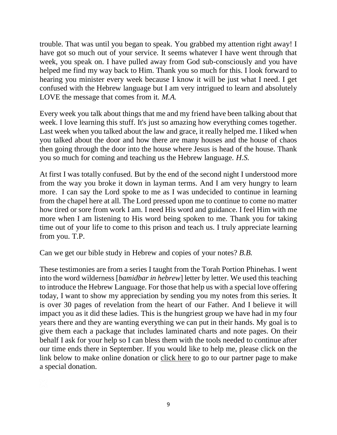trouble. That was until you began to speak. You grabbed my attention right away! I have got so much out of your service. It seems whatever I have went through that week, you speak on. I have pulled away from God sub-consciously and you have helped me find my way back to Him. Thank you so much for this. I look forward to hearing you minister every week because I know it will be just what I need. I get confused with the Hebrew language but I am very intrigued to learn and absolutely LOVE the message that comes from it. *M.A.*

Every week you talk about things that me and my friend have been talking about that week. I love learning this stuff. It's just so amazing how everything comes together. Last week when you talked about the law and grace, it really helped me. I liked when you talked about the door and how there are many houses and the house of chaos then going through the door into the house where Jesus is head of the house. Thank you so much for coming and teaching us the Hebrew language. *H.S.*

At first I was totally confused. But by the end of the second night I understood more from the way you broke it down in layman terms. And I am very hungry to learn more. I can say the Lord spoke to me as I was undecided to continue in learning from the chapel here at all. The Lord pressed upon me to continue to come no matter how tired or sore from work I am. I need His word and guidance. I feel Him with me more when I am listening to His word being spoken to me. Thank you for taking time out of your life to come to this prison and teach us. I truly appreciate learning from you. T.P.

Can we get our bible study in Hebrew and copies of your notes? *B.B.*

These testimonies are from a series I taught from the Torah Portion Phinehas. I went into the word wilderness [*bamidbar in hebrew*] letter by letter. We used this teaching to introduce the Hebrew Language. For those that help us with a special love offering today, I want to show my appreciation by sending you my notes from this series. It is over 30 pages of revelation from the heart of our Father. And I believe it will impact you as it did these ladies. This is the hungriest group we have had in my four years there and they are wanting everything we can put in their hands. My goal is to give them each a package that includes laminated charts and note pages. On their behalf I ask for your help so I can bless them with the tools needed to continue after our time ends there in September. If you would like to help me, please click on the link below to make online donation or [click here](http://ghministry.org/prison_ministry/partner_page) to go to our partner page to make a special donation.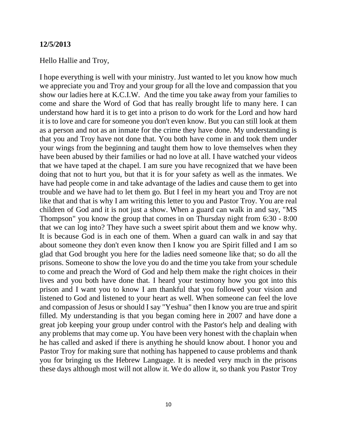#### **12/5/2013**

#### Hello Hallie and Troy,

I hope everything is well with your ministry. Just wanted to let you know how much we appreciate you and Troy and your group for all the love and compassion that you show our ladies here at K.C.I.W. And the time you take away from your families to come and share the Word of God that has really brought life to many here. I can understand how hard it is to get into a prison to do work for the Lord and how hard it is to love and care for someone you don't even know. But you can still look at them as a person and not as an inmate for the crime they have done. My understanding is that you and Troy have not done that. You both have come in and took them under your wings from the beginning and taught them how to love themselves when they have been abused by their families or had no love at all. I have watched your videos that we have taped at the chapel. I am sure you have recognized that we have been doing that not to hurt you, but that it is for your safety as well as the inmates. We have had people come in and take advantage of the ladies and cause them to get into trouble and we have had to let them go. But I feel in my heart you and Troy are not like that and that is why I am writing this letter to you and Pastor Troy. You are real children of God and it is not just a show. When a guard can walk in and say, "MS Thompson" you know the group that comes in on Thursday night from 6:30 - 8:00 that we can log into? They have such a sweet spirit about them and we know why. It is because God is in each one of them. When a guard can walk in and say that about someone they don't even know then I know you are Spirit filled and I am so glad that God brought you here for the ladies need someone like that; so do all the prisons. Someone to show the love you do and the time you take from your schedule to come and preach the Word of God and help them make the right choices in their lives and you both have done that. I heard your testimony how you got into this prison and I want you to know I am thankful that you followed your vision and listened to God and listened to your heart as well. When someone can feel the love and compassion of Jesus or should I say "Yeshua" then I know you are true and spirit filled. My understanding is that you began coming here in 2007 and have done a great job keeping your group under control with the Pastor's help and dealing with any problems that may come up. You have been very honest with the chaplain when he has called and asked if there is anything he should know about. I honor you and Pastor Troy for making sure that nothing has happened to cause problems and thank you for bringing us the Hebrew Language. It is needed very much in the prisons these days although most will not allow it. We do allow it, so thank you Pastor Troy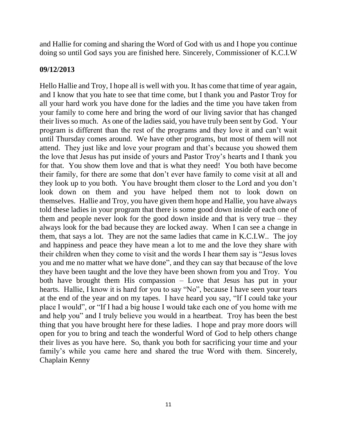and Hallie for coming and sharing the Word of God with us and I hope you continue doing so until God says you are finished here. Sincerely, Commissioner of K.C.I.W

#### **09/12/2013**

Hello Hallie and Troy, I hope all is well with you. It has come that time of year again, and I know that you hate to see that time come, but I thank you and Pastor Troy for all your hard work you have done for the ladies and the time you have taken from your family to come here and bring the word of our living savior that has changed their lives so much. As one of the ladies said, you have truly been sent by God. Your program is different than the rest of the programs and they love it and can't wait until Thursday comes around. We have other programs, but most of them will not attend. They just like and love your program and that's because you showed them the love that Jesus has put inside of yours and Pastor Troy's hearts and I thank you for that. You show them love and that is what they need! You both have become their family, for there are some that don't ever have family to come visit at all and they look up to you both. You have brought them closer to the Lord and you don't look down on them and you have helped them not to look down on themselves. Hallie and Troy, you have given them hope and Hallie, you have always told these ladies in your program that there is some good down inside of each one of them and people never look for the good down inside and that is very true – they always look for the bad because they are locked away. When I can see a change in them, that says a lot. They are not the same ladies that came in K.C.I.W.. The joy and happiness and peace they have mean a lot to me and the love they share with their children when they come to visit and the words I hear them say is "Jesus loves you and me no matter what we have done", and they can say that because of the love they have been taught and the love they have been shown from you and Troy. You both have brought them His compassion – Love that Jesus has put in your hearts. Hallie, I know it is hard for you to say "No", because I have seen your tears at the end of the year and on my tapes. I have heard you say, "If I could take your place I would", or "If I had a big house I would take each one of you home with me and help you" and I truly believe you would in a heartbeat. Troy has been the best thing that you have brought here for these ladies. I hope and pray more doors will open for you to bring and teach the wonderful Word of God to help others change their lives as you have here. So, thank you both for sacrificing your time and your family's while you came here and shared the true Word with them. Sincerely, Chaplain Kenny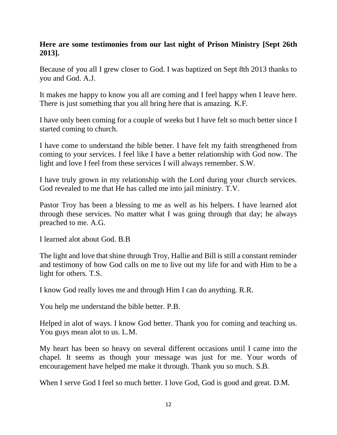## **Here are some testimonies from our last night of Prison Ministry [Sept 26th 2013].**

Because of you all I grew closer to God. I was baptized on Sept 8th 2013 thanks to you and God. A.J.

It makes me happy to know you all are coming and I feel happy when I leave here. There is just something that you all bring here that is amazing. K.F.

I have only been coming for a couple of weeks but I have felt so much better since I started coming to church.

I have come to understand the bible better. I have felt my faith strengthened from coming to your services. I feel like I have a better relationship with God now. The light and love I feel from these services I will always remember. S.W.

I have truly grown in my relationship with the Lord during your church services. God revealed to me that He has called me into jail ministry. T.V.

Pastor Troy has been a blessing to me as well as his helpers. I have learned alot through these services. No matter what I was going through that day; he always preached to me. A.G.

I learned alot about God. B.B

The light and love that shine through Troy, Hallie and Bill is still a constant reminder and testimony of how God calls on me to live out my life for and with Him to be a light for others. T.S.

I know God really loves me and through Him I can do anything. R.R.

You help me understand the bible better. P.B.

Helped in alot of ways. I know God better. Thank you for coming and teaching us. You guys mean alot to us. L.M.

My heart has been so heavy on several different occasions until I came into the chapel. It seems as though your message was just for me. Your words of encouragement have helped me make it through. Thank you so much. S.B.

When I serve God I feel so much better. I love God, God is good and great. D.M.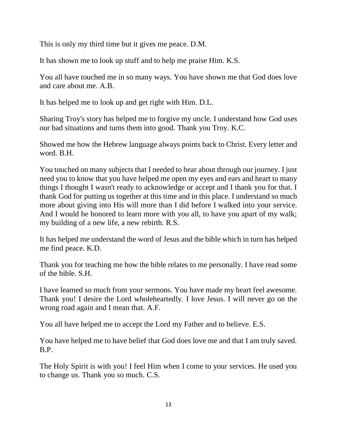This is only my third time but it gives me peace. D.M.

It has shown me to look up stuff and to help me praise Him. K.S.

You all have touched me in so many ways. You have shown me that God does love and care about me. A.B.

It has helped me to look up and get right with Him. D.L.

Sharing Troy's story has helped me to forgive my uncle. I understand how God uses our bad situations and turns them into good. Thank you Troy. K.C.

Showed me how the Hebrew language always points back to Christ. Every letter and word. B.H.

You touched on many subjects that I needed to hear about through our journey. I just need you to know that you have helped me open my eyes and ears and heart to many things I thought I wasn't ready to acknowledge or accept and I thank you for that. I thank God for putting us together at this time and in this place. I understand so much more about giving into His will more than I did before I walked into your service. And I would be honored to learn more with you all, to have you apart of my walk; my building of a new life, a new rebirth. R.S.

It has helped me understand the word of Jesus and the bible which in turn has helped me find peace. K.D.

Thank you for teaching me how the bible relates to me personally. I have read some of the bible. S.H.

I have learned so much from your sermons. You have made my heart feel awesome. Thank you! I desire the Lord wholeheartedly. I love Jesus. I will never go on the wrong road again and I mean that. A.F.

You all have helped me to accept the Lord my Father and to believe. E.S.

You have helped me to have belief that God does love me and that I am truly saved. B.P.

The Holy Spirit is with you! I feel Him when I come to your services. He used you to change us. Thank you so much. C.S.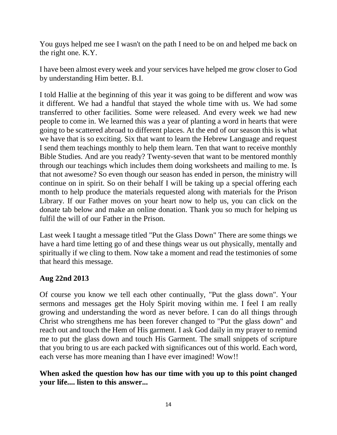You guys helped me see I wasn't on the path I need to be on and helped me back on the right one. K.Y.

I have been almost every week and your services have helped me grow closer to God by understanding Him better. B.I.

I told Hallie at the beginning of this year it was going to be different and wow was it different. We had a handful that stayed the whole time with us. We had some transferred to other facilities. Some were released. And every week we had new people to come in. We learned this was a year of planting a word in hearts that were going to be scattered abroad to different places. At the end of our season this is what we have that is so exciting. Six that want to learn the Hebrew Language and request I send them teachings monthly to help them learn. Ten that want to receive monthly Bible Studies. And are you ready? Twenty-seven that want to be mentored monthly through our teachings which includes them doing worksheets and mailing to me. Is that not awesome? So even though our season has ended in person, the ministry will continue on in spirit. So on their behalf I will be taking up a special offering each month to help produce the materials requested along with materials for the Prison Library. If our Father moves on your heart now to help us, you can click on the donate tab below and make an online donation. Thank you so much for helping us fulfil the will of our Father in the Prison.

Last week I taught a message titled "Put the Glass Down" There are some things we have a hard time letting go of and these things wear us out physically, mentally and spiritually if we cling to them. Now take a moment and read the testimonies of some that heard this message.

## **Aug 22nd 2013**

Of course you know we tell each other continually, "Put the glass down". Your sermons and messages get the Holy Spirit moving within me. I feel I am really growing and understanding the word as never before. I can do all things through Christ who strengthens me has been forever changed to "Put the glass down" and reach out and touch the Hem of His garment. I ask God daily in my prayer to remind me to put the glass down and touch His Garment. The small snippets of scripture that you bring to us are each packed with significances out of this world. Each word, each verse has more meaning than I have ever imagined! Wow!!

### **When asked the question how has our time with you up to this point changed your life.... listen to this answer...**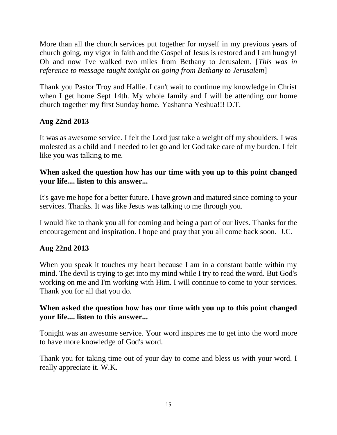More than all the church services put together for myself in my previous years of church going, my vigor in faith and the Gospel of Jesus is restored and I am hungry! Oh and now I've walked two miles from Bethany to Jerusalem. [*This was in reference to message taught tonight on going from Bethany to Jerusalem*]

Thank you Pastor Troy and Hallie. I can't wait to continue my knowledge in Christ when I get home Sept 14th. My whole family and I will be attending our home church together my first Sunday home. Yashanna Yeshua!!! D.T.

## **Aug 22nd 2013**

It was as awesome service. I felt the Lord just take a weight off my shoulders. I was molested as a child and I needed to let go and let God take care of my burden. I felt like you was talking to me.

### **When asked the question how has our time with you up to this point changed your life.... listen to this answer...**

It's gave me hope for a better future. I have grown and matured since coming to your services. Thanks. It was like Jesus was talking to me through you.

I would like to thank you all for coming and being a part of our lives. Thanks for the encouragement and inspiration. I hope and pray that you all come back soon. J.C.

## **Aug 22nd 2013**

When you speak it touches my heart because I am in a constant battle within my mind. The devil is trying to get into my mind while I try to read the word. But God's working on me and I'm working with Him. I will continue to come to your services. Thank you for all that you do.

### **When asked the question how has our time with you up to this point changed your life.... listen to this answer...**

Tonight was an awesome service. Your word inspires me to get into the word more to have more knowledge of God's word.

Thank you for taking time out of your day to come and bless us with your word. I really appreciate it. W.K.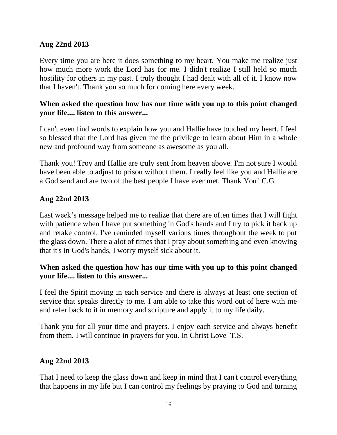#### **Aug 22nd 2013**

Every time you are here it does something to my heart. You make me realize just how much more work the Lord has for me. I didn't realize I still held so much hostility for others in my past. I truly thought I had dealt with all of it. I know now that I haven't. Thank you so much for coming here every week.

## **When asked the question how has our time with you up to this point changed your life.... listen to this answer...**

I can't even find words to explain how you and Hallie have touched my heart. I feel so blessed that the Lord has given me the privilege to learn about Him in a whole new and profound way from someone as awesome as you all.

Thank you! Troy and Hallie are truly sent from heaven above. I'm not sure I would have been able to adjust to prison without them. I really feel like you and Hallie are a God send and are two of the best people I have ever met. Thank You! C.G.

## **Aug 22nd 2013**

Last week's message helped me to realize that there are often times that I will fight with patience when I have put something in God's hands and I try to pick it back up and retake control. I've reminded myself various times throughout the week to put the glass down. There a alot of times that I pray about something and even knowing that it's in God's hands, I worry myself sick about it.

### **When asked the question how has our time with you up to this point changed your life.... listen to this answer...**

I feel the Spirit moving in each service and there is always at least one section of service that speaks directly to me. I am able to take this word out of here with me and refer back to it in memory and scripture and apply it to my life daily.

Thank you for all your time and prayers. I enjoy each service and always benefit from them. I will continue in prayers for you. In Christ Love T.S.

## **Aug 22nd 2013**

That I need to keep the glass down and keep in mind that I can't control everything that happens in my life but I can control my feelings by praying to God and turning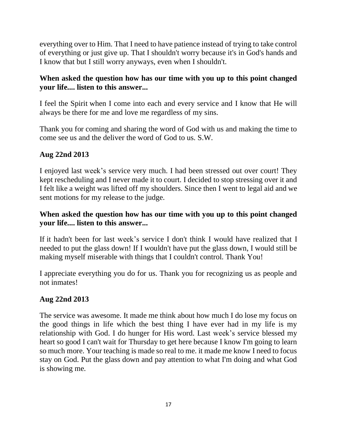everything over to Him. That I need to have patience instead of trying to take control of everything or just give up. That I shouldn't worry because it's in God's hands and I know that but I still worry anyways, even when I shouldn't.

## **When asked the question how has our time with you up to this point changed your life.... listen to this answer...**

I feel the Spirit when I come into each and every service and I know that He will always be there for me and love me regardless of my sins.

Thank you for coming and sharing the word of God with us and making the time to come see us and the deliver the word of God to us. S.W.

## **Aug 22nd 2013**

I enjoyed last week's service very much. I had been stressed out over court! They kept rescheduling and I never made it to court. I decided to stop stressing over it and I felt like a weight was lifted off my shoulders. Since then I went to legal aid and we sent motions for my release to the judge.

## **When asked the question how has our time with you up to this point changed your life.... listen to this answer...**

If it hadn't been for last week's service I don't think I would have realized that I needed to put the glass down! If I wouldn't have put the glass down, I would still be making myself miserable with things that I couldn't control. Thank You!

I appreciate everything you do for us. Thank you for recognizing us as people and not inmates!

#### **Aug 22nd 2013**

The service was awesome. It made me think about how much I do lose my focus on the good things in life which the best thing I have ever had in my life is my relationship with God. I do hunger for His word. Last week's service blessed my heart so good I can't wait for Thursday to get here because I know I'm going to learn so much more. Your teaching is made so real to me. it made me know I need to focus stay on God. Put the glass down and pay attention to what I'm doing and what God is showing me.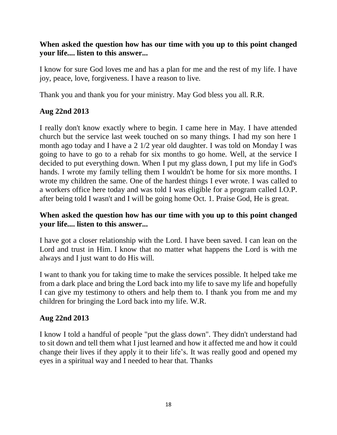## **When asked the question how has our time with you up to this point changed your life.... listen to this answer...**

I know for sure God loves me and has a plan for me and the rest of my life. I have joy, peace, love, forgiveness. I have a reason to live.

Thank you and thank you for your ministry. May God bless you all. R.R.

## **Aug 22nd 2013**

I really don't know exactly where to begin. I came here in May. I have attended church but the service last week touched on so many things. I had my son here 1 month ago today and I have a 2 1/2 year old daughter. I was told on Monday I was going to have to go to a rehab for six months to go home. Well, at the service I decided to put everything down. When I put my glass down, I put my life in God's hands. I wrote my family telling them I wouldn't be home for six more months. I wrote my children the same. One of the hardest things I ever wrote. I was called to a workers office here today and was told I was eligible for a program called I.O.P. after being told I wasn't and I will be going home Oct. 1. Praise God, He is great.

### **When asked the question how has our time with you up to this point changed your life.... listen to this answer...**

I have got a closer relationship with the Lord. I have been saved. I can lean on the Lord and trust in Him. I know that no matter what happens the Lord is with me always and I just want to do His will.

I want to thank you for taking time to make the services possible. It helped take me from a dark place and bring the Lord back into my life to save my life and hopefully I can give my testimony to others and help them to. I thank you from me and my children for bringing the Lord back into my life. W.R.

## **Aug 22nd 2013**

I know I told a handful of people "put the glass down". They didn't understand had to sit down and tell them what I just learned and how it affected me and how it could change their lives if they apply it to their life's. It was really good and opened my eyes in a spiritual way and I needed to hear that. Thanks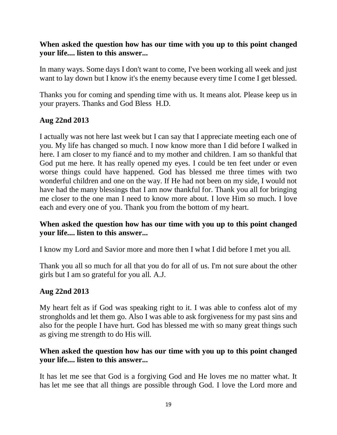## **When asked the question how has our time with you up to this point changed your life.... listen to this answer...**

In many ways. Some days I don't want to come, I've been working all week and just want to lay down but I know it's the enemy because every time I come I get blessed.

Thanks you for coming and spending time with us. It means alot. Please keep us in your prayers. Thanks and God Bless H.D.

### **Aug 22nd 2013**

I actually was not here last week but I can say that I appreciate meeting each one of you. My life has changed so much. I now know more than I did before I walked in here. I am closer to my fiancé and to my mother and children. I am so thankful that God put me here. It has really opened my eyes. I could be ten feet under or even worse things could have happened. God has blessed me three times with two wonderful children and one on the way. If He had not been on my side, I would not have had the many blessings that I am now thankful for. Thank you all for bringing me closer to the one man I need to know more about. I love Him so much. I love each and every one of you. Thank you from the bottom of my heart.

### **When asked the question how has our time with you up to this point changed your life.... listen to this answer...**

I know my Lord and Savior more and more then I what I did before I met you all.

Thank you all so much for all that you do for all of us. I'm not sure about the other girls but I am so grateful for you all. A.J.

#### **Aug 22nd 2013**

My heart felt as if God was speaking right to it. I was able to confess alot of my strongholds and let them go. Also I was able to ask forgiveness for my past sins and also for the people I have hurt. God has blessed me with so many great things such as giving me strength to do His will.

### **When asked the question how has our time with you up to this point changed your life.... listen to this answer...**

It has let me see that God is a forgiving God and He loves me no matter what. It has let me see that all things are possible through God. I love the Lord more and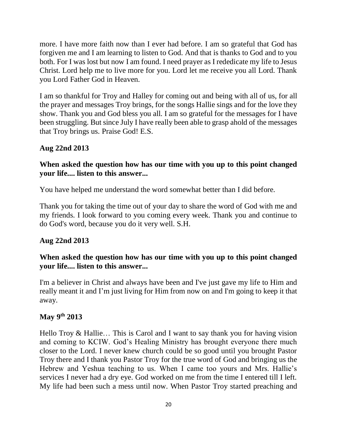more. I have more faith now than I ever had before. I am so grateful that God has forgiven me and I am learning to listen to God. And that is thanks to God and to you both. For I was lost but now I am found. I need prayer as I rededicate my life to Jesus Christ. Lord help me to live more for you. Lord let me receive you all Lord. Thank you Lord Father God in Heaven.

I am so thankful for Troy and Halley for coming out and being with all of us, for all the prayer and messages Troy brings, for the songs Hallie sings and for the love they show. Thank you and God bless you all. I am so grateful for the messages for I have been struggling. But since July I have really been able to grasp ahold of the messages that Troy brings us. Praise God! E.S.

### **Aug 22nd 2013**

## **When asked the question how has our time with you up to this point changed your life.... listen to this answer...**

You have helped me understand the word somewhat better than I did before.

Thank you for taking the time out of your day to share the word of God with me and my friends. I look forward to you coming every week. Thank you and continue to do God's word, because you do it very well. S.H.

#### **Aug 22nd 2013**

## **When asked the question how has our time with you up to this point changed your life.... listen to this answer...**

I'm a believer in Christ and always have been and I've just gave my life to Him and really meant it and I'm just living for Him from now on and I'm going to keep it that away.

#### **May 9th 2013**

Hello Troy & Hallie… This is Carol and I want to say thank you for having vision and coming to KCIW. God's Healing Ministry has brought everyone there much closer to the Lord. I never knew church could be so good until you brought Pastor Troy there and I thank you Pastor Troy for the true word of God and bringing us the Hebrew and Yeshua teaching to us. When I came too yours and Mrs. Hallie's services I never had a dry eye. God worked on me from the time I entered till I left. My life had been such a mess until now. When Pastor Troy started preaching and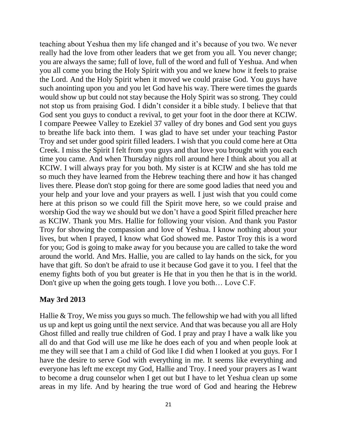teaching about Yeshua then my life changed and it's because of you two. We never really had the love from other leaders that we get from you all. You never change; you are always the same; full of love, full of the word and full of Yeshua. And when you all come you bring the Holy Spirit with you and we knew how it feels to praise the Lord. And the Holy Spirit when it moved we could praise God. You guys have such anointing upon you and you let God have his way. There were times the guards would show up but could not stay because the Holy Spirit was so strong. They could not stop us from praising God. I didn't consider it a bible study. I believe that that God sent you guys to conduct a revival, to get your foot in the door there at KCIW. I compare Peewee Valley to Ezekiel 37 valley of dry bones and God sent you guys to breathe life back into them. I was glad to have set under your teaching Pastor Troy and set under good spirit filled leaders. I wish that you could come here at Otta Creek. I miss the Spirit I felt from you guys and that love you brought with you each time you came. And when Thursday nights roll around here I think about you all at KCIW. I will always pray for you both. My sister is at KCIW and she has told me so much they have learned from the Hebrew teaching there and how it has changed lives there. Please don't stop going for there are some good ladies that need you and your help and your love and your prayers as well. I just wish that you could come here at this prison so we could fill the Spirit move here, so we could praise and worship God the way we should but we don't have a good Spirit filled preacher here as KCIW. Thank you Mrs. Hallie for following your vision. And thank you Pastor Troy for showing the compassion and love of Yeshua. I know nothing about your lives, but when I prayed, I know what God showed me. Pastor Troy this is a word for you; God is going to make away for you because you are called to take the word around the world. And Mrs. Hallie, you are called to lay hands on the sick, for you have that gift. So don't be afraid to use it because God gave it to you. I feel that the enemy fights both of you but greater is He that in you then he that is in the world. Don't give up when the going gets tough. I love you both… Love C.F.

#### **May 3rd 2013**

Hallie & Troy, We miss you guys so much. The fellowship we had with you all lifted us up and kept us going until the next service. And that was because you all are Holy Ghost filled and really true children of God. I pray and pray I have a walk like you all do and that God will use me like he does each of you and when people look at me they will see that I am a child of God like I did when I looked at you guys. For I have the desire to serve God with everything in me. It seems like everything and everyone has left me except my God, Hallie and Troy. I need your prayers as I want to become a drug counselor when I get out but I have to let Yeshua clean up some areas in my life. And by hearing the true word of God and hearing the Hebrew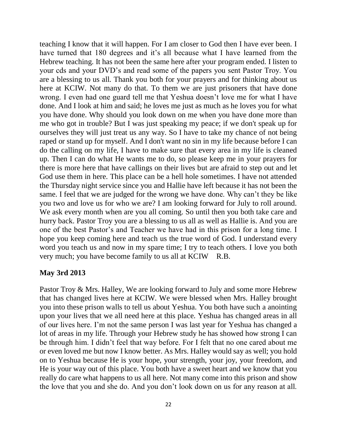teaching I know that it will happen. For I am closer to God then I have ever been. I have turned that 180 degrees and it's all because what I have learned from the Hebrew teaching. It has not been the same here after your program ended. I listen to your cds and your DVD's and read some of the papers you sent Pastor Troy. You are a blessing to us all. Thank you both for your prayers and for thinking about us here at KCIW. Not many do that. To them we are just prisoners that have done wrong. I even had one guard tell me that Yeshua doesn't love me for what I have done. And I look at him and said; he loves me just as much as he loves you for what you have done. Why should you look down on me when you have done more than me who got in trouble? But I was just speaking my peace; if we don't speak up for ourselves they will just treat us any way. So I have to take my chance of not being raped or stand up for myself. And I don't want no sin in my life because before I can do the calling on my life, I have to make sure that every area in my life is cleaned up. Then I can do what He wants me to do, so please keep me in your prayers for there is more here that have callings on their lives but are afraid to step out and let God use them in here. This place can be a hell hole sometimes. I have not attended the Thursday night service since you and Hallie have left because it has not been the same. I feel that we are judged for the wrong we have done. Why can't they be like you two and love us for who we are? I am looking forward for July to roll around. We ask every month when are you all coming. So until then you both take care and hurry back. Pastor Troy you are a blessing to us all as well as Hallie is. And you are one of the best Pastor's and Teacher we have had in this prison for a long time. I hope you keep coming here and teach us the true word of God. I understand every word you teach us and now in my spare time; I try to teach others. I love you both very much; you have become family to us all at KCIW R.B.

#### **May 3rd 2013**

Pastor Troy & Mrs. Halley, We are looking forward to July and some more Hebrew that has changed lives here at KCIW. We were blessed when Mrs. Halley brought you into these prison walls to tell us about Yeshua. You both have such a anointing upon your lives that we all need here at this place. Yeshua has changed areas in all of our lives here. I'm not the same person I was last year for Yeshua has changed a lot of areas in my life. Through your Hebrew study he has showed how strong I can be through him. I didn't feel that way before. For I felt that no one cared about me or even loved me but now I know better. As Mrs. Halley would say as well; you hold on to Yeshua because He is your hope, your strength, your joy, your freedom, and He is your way out of this place. You both have a sweet heart and we know that you really do care what happens to us all here. Not many come into this prison and show the love that you and she do. And you don't look down on us for any reason at all.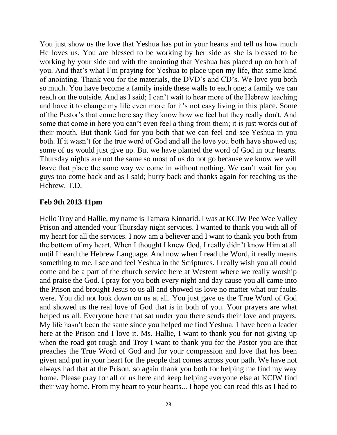You just show us the love that Yeshua has put in your hearts and tell us how much He loves us. You are blessed to be working by her side as she is blessed to be working by your side and with the anointing that Yeshua has placed up on both of you. And that's what I'm praying for Yeshua to place upon my life, that same kind of anointing. Thank you for the materials, the DVD's and CD's. We love you both so much. You have become a family inside these walls to each one; a family we can reach on the outside. And as I said; I can't wait to hear more of the Hebrew teaching and have it to change my life even more for it's not easy living in this place. Some of the Pastor's that come here say they know how we feel but they really don't. And some that come in here you can't even feel a thing from them; it is just words out of their mouth. But thank God for you both that we can feel and see Yeshua in you both. If it wasn't for the true word of God and all the love you both have showed us; some of us would just give up. But we have planted the word of God in our hearts. Thursday nights are not the same so most of us do not go because we know we will leave that place the same way we come in without nothing. We can't wait for you guys too come back and as I said; hurry back and thanks again for teaching us the Hebrew. T.D.

#### **Feb 9th 2013 11pm**

Hello Troy and Hallie, my name is Tamara Kinnarid. I was at KCIW Pee Wee Valley Prison and attended your Thursday night services. I wanted to thank you with all of my heart for all the services. I now am a believer and I want to thank you both from the bottom of my heart. When I thought I knew God, I really didn't know Him at all until I heard the Hebrew Language. And now when I read the Word, it really means something to me. I see and feel Yeshua in the Scriptures. I really wish you all could come and be a part of the church service here at Western where we really worship and praise the God. I pray for you both every night and day cause you all came into the Prison and brought Jesus to us all and showed us love no matter what our faults were. You did not look down on us at all. You just gave us the True Word of God and showed us the real love of God that is in both of you. Your prayers are what helped us all. Everyone here that sat under you there sends their love and prayers. My life hasn't been the same since you helped me find Yeshua. I have been a leader here at the Prison and I love it. Ms. Hallie, I want to thank you for not giving up when the road got rough and Troy I want to thank you for the Pastor you are that preaches the True Word of God and for your compassion and love that has been given and put in your heart for the people that comes across your path. We have not always had that at the Prison, so again thank you both for helping me find my way home. Please pray for all of us here and keep helping everyone else at KCIW find their way home. From my heart to your hearts... I hope you can read this as I had to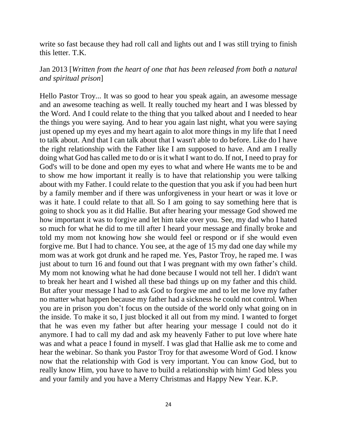write so fast because they had roll call and lights out and I was still trying to finish this letter. T.K.

## Jan 2013 [*Written from the heart of one that has been released from both a natural and spiritual prison*]

Hello Pastor Troy... It was so good to hear you speak again, an awesome message and an awesome teaching as well. It really touched my heart and I was blessed by the Word. And I could relate to the thing that you talked about and I needed to hear the things you were saying. And to hear you again last night, what you were saying just opened up my eyes and my heart again to alot more things in my life that I need to talk about. And that I can talk about that I wasn't able to do before. Like do I have the right relationship with the Father like I am supposed to have. And am I really doing what God has called me to do or is it what I want to do. If not, I need to pray for God's will to be done and open my eyes to what and where He wants me to be and to show me how important it really is to have that relationship you were talking about with my Father. I could relate to the question that you ask if you had been hurt by a family member and if there was unforgiveness in your heart or was it love or was it hate. I could relate to that all. So I am going to say something here that is going to shock you as it did Hallie. But after hearing your message God showed me how important it was to forgive and let him take over you. See, my dad who I hated so much for what he did to me till after I heard your message and finally broke and told my mom not knowing how she would feel or respond or if she would even forgive me. But I had to chance. You see, at the age of 15 my dad one day while my mom was at work got drunk and he raped me. Yes, Pastor Troy, he raped me. I was just about to turn 16 and found out that I was pregnant with my own father's child. My mom not knowing what he had done because I would not tell her. I didn't want to break her heart and I wished all these bad things up on my father and this child. But after your message I had to ask God to forgive me and to let me love my father no matter what happen because my father had a sickness he could not control. When you are in prison you don't focus on the outside of the world only what going on in the inside. To make it so, I just blocked it all out from my mind. I wanted to forget that he was even my father but after hearing your message I could not do it anymore. I had to call my dad and ask my heavenly Father to put love where hate was and what a peace I found in myself. I was glad that Hallie ask me to come and hear the webinar. So thank you Pastor Troy for that awesome Word of God. I know now that the relationship with God is very important. You can know God, but to really know Him, you have to have to build a relationship with him! God bless you and your family and you have a Merry Christmas and Happy New Year. K.P.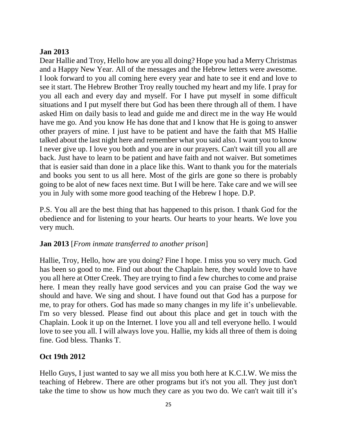## **Jan 2013**

Dear Hallie and Troy, Hello how are you all doing? Hope you had a Merry Christmas and a Happy New Year. All of the messages and the Hebrew letters were awesome. I look forward to you all coming here every year and hate to see it end and love to see it start. The Hebrew Brother Troy really touched my heart and my life. I pray for you all each and every day and myself. For I have put myself in some difficult situations and I put myself there but God has been there through all of them. I have asked Him on daily basis to lead and guide me and direct me in the way He would have me go. And you know He has done that and I know that He is going to answer other prayers of mine. I just have to be patient and have the faith that MS Hallie talked about the last night here and remember what you said also. I want you to know I never give up. I love you both and you are in our prayers. Can't wait till you all are back. Just have to learn to be patient and have faith and not waiver. But sometimes that is easier said than done in a place like this. Want to thank you for the materials and books you sent to us all here. Most of the girls are gone so there is probably going to be alot of new faces next time. But I will be here. Take care and we will see you in July with some more good teaching of the Hebrew I hope. D.P.

P.S. You all are the best thing that has happened to this prison. I thank God for the obedience and for listening to your hearts. Our hearts to your hearts. We love you very much.

## **Jan 2013** [*From inmate transferred to another prison*]

Hallie, Troy, Hello, how are you doing? Fine I hope. I miss you so very much. God has been so good to me. Find out about the Chaplain here, they would love to have you all here at Otter Creek. They are trying to find a few churches to come and praise here. I mean they really have good services and you can praise God the way we should and have. We sing and shout. I have found out that God has a purpose for me, to pray for others. God has made so many changes in my life it's unbelievable. I'm so very blessed. Please find out about this place and get in touch with the Chaplain. Look it up on the Internet. I love you all and tell everyone hello. I would love to see you all. I will always love you. Hallie, my kids all three of them is doing fine. God bless. Thanks T.

## **Oct 19th 2012**

Hello Guys, I just wanted to say we all miss you both here at K.C.I.W. We miss the teaching of Hebrew. There are other programs but it's not you all. They just don't take the time to show us how much they care as you two do. We can't wait till it's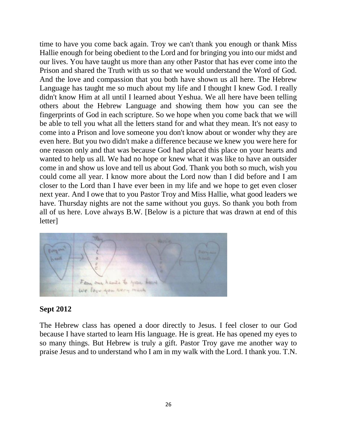time to have you come back again. Troy we can't thank you enough or thank Miss Hallie enough for being obedient to the Lord and for bringing you into our midst and our lives. You have taught us more than any other Pastor that has ever come into the Prison and shared the Truth with us so that we would understand the Word of God. And the love and compassion that you both have shown us all here. The Hebrew Language has taught me so much about my life and I thought I knew God. I really didn't know Him at all until I learned about Yeshua. We all here have been telling others about the Hebrew Language and showing them how you can see the fingerprints of God in each scripture. So we hope when you come back that we will be able to tell you what all the letters stand for and what they mean. It's not easy to come into a Prison and love someone you don't know about or wonder why they are even here. But you two didn't make a difference because we knew you were here for one reason only and that was because God had placed this place on your hearts and wanted to help us all. We had no hope or knew what it was like to have an outsider come in and show us love and tell us about God. Thank you both so much, wish you could come all year. I know more about the Lord now than I did before and I am closer to the Lord than I have ever been in my life and we hope to get even closer next year. And I owe that to you Pastor Troy and Miss Hallie, what good leaders we have. Thursday nights are not the same without you guys. So thank you both from all of us here. Love always B.W. [Below is a picture that was drawn at end of this letter]



#### **Sept 2012**

The Hebrew class has opened a door directly to Jesus. I feel closer to our God because I have started to learn His language. He is great. He has opened my eyes to so many things. But Hebrew is truly a gift. Pastor Troy gave me another way to praise Jesus and to understand who I am in my walk with the Lord. I thank you. T.N.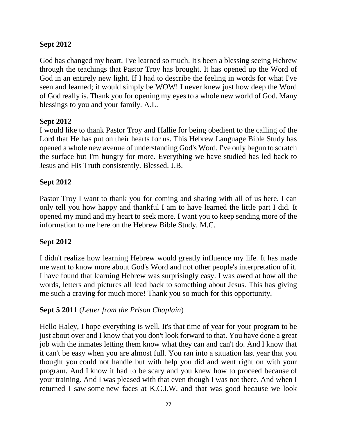## **Sept 2012**

God has changed my heart. I've learned so much. It's been a blessing seeing Hebrew through the teachings that Pastor Troy has brought. It has opened up the Word of God in an entirely new light. If I had to describe the feeling in words for what I've seen and learned; it would simply be WOW! I never knew just how deep the Word of God really is. Thank you for opening my eyes to a whole new world of God. Many blessings to you and your family. A.L.

## **Sept 2012**

I would like to thank Pastor Troy and Hallie for being obedient to the calling of the Lord that He has put on their hearts for us. This Hebrew Language Bible Study has opened a whole new avenue of understanding God's Word. I've only begun to scratch the surface but I'm hungry for more. Everything we have studied has led back to Jesus and His Truth consistently. Blessed. J.B.

## **Sept 2012**

Pastor Troy I want to thank you for coming and sharing with all of us here. I can only tell you how happy and thankful I am to have learned the little part I did. It opened my mind and my heart to seek more. I want you to keep sending more of the information to me here on the Hebrew Bible Study. M.C.

## **Sept 2012**

I didn't realize how learning Hebrew would greatly influence my life. It has made me want to know more about God's Word and not other people's interpretation of it. I have found that learning Hebrew was surprisingly easy. I was awed at how all the words, letters and pictures all lead back to something about Jesus. This has giving me such a craving for much more! Thank you so much for this opportunity.

## **Sept 5 2011** (*Letter from the Prison Chaplain*)

Hello Haley, I hope everything is well. It's that time of year for your program to be just about over and I know that you don't look forward to that. You have done a great job with the inmates letting them know what they can and can't do. And I know that it can't be easy when you are almost full. You ran into a situation last year that you thought you could not handle but with help you did and went right on with your program. And I know it had to be scary and you knew how to proceed because of your training. And I was pleased with that even though I was not there. And when I returned I saw some new faces at K.C.I.W. and that was good because we look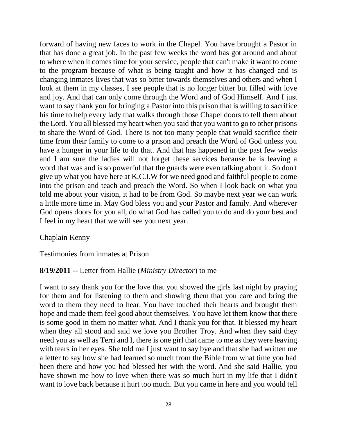forward of having new faces to work in the Chapel. You have brought a Pastor in that has done a great job. In the past few weeks the word has got around and about to where when it comes time for your service, people that can't make it want to come to the program because of what is being taught and how it has changed and is changing inmates lives that was so bitter towards themselves and others and when I look at them in my classes, I see people that is no longer bitter but filled with love and joy. And that can only come through the Word and of God Himself. And I just want to say thank you for bringing a Pastor into this prison that is willing to sacrifice his time to help every lady that walks through those Chapel doors to tell them about the Lord. You all blessed my heart when you said that you want to go to other prisons to share the Word of God. There is not too many people that would sacrifice their time from their family to come to a prison and preach the Word of God unless you have a hunger in your life to do that. And that has happened in the past few weeks and I am sure the ladies will not forget these services because he is leaving a word that was and is so powerful that the guards were even talking about it. So don't give up what you have here at K.C.I.W for we need good and faithful people to come into the prison and teach and preach the Word. So when I look back on what you told me about your vision, it had to be from God. So maybe next year we can work a little more time in. May God bless you and your Pastor and family. And wherever God opens doors for you all, do what God has called you to do and do your best and I feel in my heart that we will see you next year.

#### Chaplain Kenny

Testimonies from inmates at Prison

#### **8/19/2011** -- Letter from Hallie (*Ministry Director*) to me

I want to say thank you for the love that you showed the girls last night by praying for them and for listening to them and showing them that you care and bring the word to them they need to hear. You have touched their hearts and brought them hope and made them feel good about themselves. You have let them know that there is some good in them no matter what. And I thank you for that. It blessed my heart when they all stood and said we love you Brother Troy. And when they said they need you as well as Terri and I, there is one girl that came to me as they were leaving with tears in her eyes. She told me I just want to say bye and that she had written me a letter to say how she had learned so much from the Bible from what time you had been there and how you had blessed her with the word. And she said Hallie, you have shown me how to love when there was so much hurt in my life that I didn't want to love back because it hurt too much. But you came in here and you would tell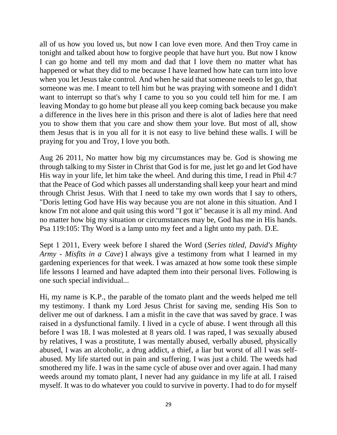all of us how you loved us, but now I can love even more. And then Troy came in tonight and talked about how to forgive people that have hurt you. But now I know I can go home and tell my mom and dad that I love them no matter what has happened or what they did to me because I have learned how hate can turn into love when you let Jesus take control. And when he said that someone needs to let go, that someone was me. I meant to tell him but he was praying with someone and I didn't want to interrupt so that's why I came to you so you could tell him for me. I am leaving Monday to go home but please all you keep coming back because you make a difference in the lives here in this prison and there is alot of ladies here that need you to show them that you care and show them your love. But most of all, show them Jesus that is in you all for it is not easy to live behind these walls. I will be praying for you and Troy, I love you both.

Aug 26 2011, No matter how big my circumstances may be. God is showing me through talking to my Sister in Christ that God is for me, just let go and let God have His way in your life, let him take the wheel. And during this time, I read in Phil 4:7 that the Peace of God which passes all understanding shall keep your heart and mind through Christ Jesus. With that I need to take my own words that I say to others, "Doris letting God have His way because you are not alone in this situation. And I know I'm not alone and quit using this word "I got it" because it is all my mind. And no matter how big my situation or circumstances may be, God has me in His hands. Psa 119:105: Thy Word is a lamp unto my feet and a light unto my path. D.E.

Sept 1 2011, Every week before I shared the Word (*Series titled, David's Mighty Army - Misfits in a Cave*) I always give a testimony from what I learned in my gardening experiences for that week. I was amazed at how some took these simple life lessons I learned and have adapted them into their personal lives. Following is one such special individual...

Hi, my name is K.P., the parable of the tomato plant and the weeds helped me tell my testimony. I thank my Lord Jesus Christ for saving me, sending His Son to deliver me out of darkness. I am a misfit in the cave that was saved by grace. I was raised in a dysfunctional family. I lived in a cycle of abuse. I went through all this before I was 18. I was molested at 8 years old. I was raped, I was sexually abused by relatives, I was a prostitute, I was mentally abused, verbally abused, physically abused, I was an alcoholic, a drug addict, a thief, a liar but worst of all I was selfabused. My life started out in pain and suffering. I was just a child. The weeds had smothered my life. I was in the same cycle of abuse over and over again. I had many weeds around my tomato plant, I never had any guidance in my life at all. I raised myself. It was to do whatever you could to survive in poverty. I had to do for myself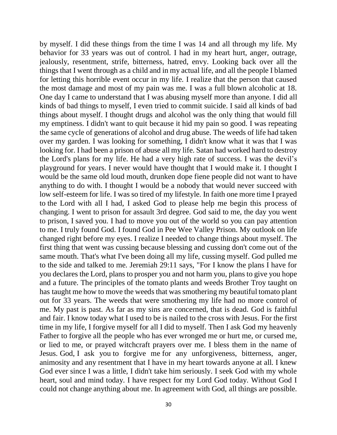by myself. I did these things from the time I was 14 and all through my life. My behavior for 33 years was out of control. I had in my heart hurt, anger, outrage, jealously, resentment, strife, bitterness, hatred, envy. Looking back over all the things that I went through as a child and in my actual life, and all the people I blamed for letting this horrible event occur in my life. I realize that the person that caused the most damage and most of my pain was me. I was a full blown alcoholic at 18. One day I came to understand that I was abusing myself more than anyone. I did all kinds of bad things to myself, I even tried to commit suicide. I said all kinds of bad things about myself. I thought drugs and alcohol was the only thing that would fill my emptiness. I didn't want to quit because it hid my pain so good. I was repeating the same cycle of generations of alcohol and drug abuse. The weeds of life had taken over my garden. I was looking for something, I didn't know what it was that I was looking for. I had been a prison of abuse all my life. Satan had worked hard to destroy the Lord's plans for my life. He had a very high rate of success. I was the devil's playground for years. I never would have thought that I would make it. I thought I would be the same old loud mouth, drunken dope fiene people did not want to have anything to do with. I thought I would be a nobody that would never succeed with low self-esteem for life. I was so tired of my lifestyle. In faith one more time I prayed to the Lord with all I had, I asked God to please help me begin this process of changing. I went to prison for assault 3rd degree. God said to me, the day you went to prison, I saved you. I had to move you out of the world so you can pay attention to me. I truly found God. I found God in Pee Wee Valley Prison. My outlook on life changed right before my eyes. I realize I needed to change things about myself. The first thing that went was cussing because blessing and cussing don't come out of the same mouth. That's what I've been doing all my life, cussing myself. God pulled me to the side and talked to me. Jeremiah 29:11 says, "For I know the plans I have for you declares the Lord, plans to prosper you and not harm you, plans to give you hope and a future. The principles of the tomato plants and weeds Brother Troy taught on has taught me how to move the weeds that was smothering my beautiful tomato plant out for 33 years. The weeds that were smothering my life had no more control of me. My past is past. As far as my sins are concerned, that is dead. God is faithful and fair. I know today what I used to be is nailed to the cross with Jesus. For the first time in my life, I forgive myself for all I did to myself. Then I ask God my heavenly Father to forgive all the people who has ever wronged me or hurt me, or cursed me, or lied to me, or prayed witchcraft prayers over me. I bless them in the name of Jesus. God, I ask you to forgive me for any unforgiveness, bitterness, anger, animosity and any resentment that I have in my heart towards anyone at all. I knew God ever since I was a little, I didn't take him seriously. I seek God with my whole heart, soul and mind today. I have respect for my Lord God today. Without God I could not change anything about me. In agreement with God, all things are possible.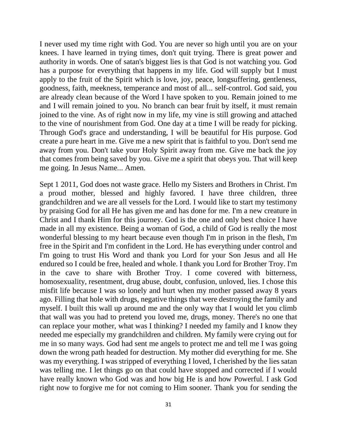I never used my time right with God. You are never so high until you are on your knees. I have learned in trying times, don't quit trying. There is great power and authority in words. One of satan's biggest lies is that God is not watching you. God has a purpose for everything that happens in my life. God will supply but I must apply to the fruit of the Spirit which is love, joy, peace, longsuffering, gentleness, goodness, faith, meekness, temperance and most of all... self-control. God said, you are already clean because of the Word I have spoken to you. Remain joined to me and I will remain joined to you. No branch can bear fruit by itself, it must remain joined to the vine. As of right now in my life, my vine is still growing and attached to the vine of nourishment from God. One day at a time I will be ready for picking. Through God's grace and understanding, I will be beautiful for His purpose. God create a pure heart in me. Give me a new spirit that is faithful to you. Don't send me away from you. Don't take your Holy Spirit away from me. Give me back the joy that comes from being saved by you. Give me a spirit that obeys you. That will keep me going. In Jesus Name... Amen.

Sept 1 2011, God does not waste grace. Hello my Sisters and Brothers in Christ. I'm a proud mother, blessed and highly favored. I have three children, three grandchildren and we are all vessels for the Lord. I would like to start my testimony by praising God for all He has given me and has done for me. I'm a new creature in Christ and I thank Him for this journey. God is the one and only best choice I have made in all my existence. Being a woman of God, a child of God is really the most wonderful blessing to my heart because even though I'm in prison in the flesh, I'm free in the Spirit and I'm confident in the Lord. He has everything under control and I'm going to trust His Word and thank you Lord for your Son Jesus and all He endured so I could be free, healed and whole. I thank you Lord for Brother Troy. I'm in the cave to share with Brother Troy. I come covered with bitterness, homosexuality, resentment, drug abuse, doubt, confusion, unloved, lies. I chose this misfit life because I was so lonely and hurt when my mother passed away 8 years ago. Filling that hole with drugs, negative things that were destroying the family and myself. I built this wall up around me and the only way that I would let you climb that wall was you had to pretend you loved me, drugs, money. There's no one that can replace your mother, what was I thinking? I needed my family and I know they needed me especially my grandchildren and children. My family were crying out for me in so many ways. God had sent me angels to protect me and tell me I was going down the wrong path headed for destruction. My mother did everything for me. She was my everything. I was stripped of everything I loved, I cherished by the lies satan was telling me. I let things go on that could have stopped and corrected if I would have really known who God was and how big He is and how Powerful. I ask God right now to forgive me for not coming to Him sooner. Thank you for sending the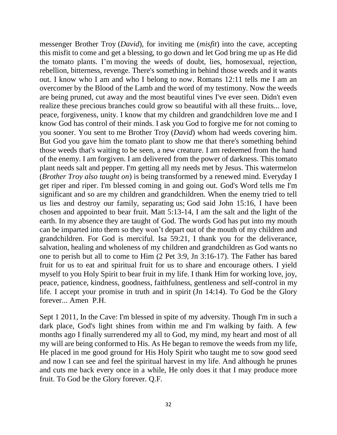messenger Brother Troy (*David*), for inviting me (*misfit*) into the cave, accepting this misfit to come and get a blessing, to go down and let God bring me up as He did the tomato plants. I'm moving the weeds of doubt, lies, homosexual, rejection, rebellion, bitterness, revenge. There's something in behind those weeds and it wants out. I know who I am and who I belong to now. Romans 12:11 tells me I am an overcomer by the Blood of the Lamb and the word of my testimony. Now the weeds are being pruned, cut away and the most beautiful vines I've ever seen. Didn't even realize these precious branches could grow so beautiful with all these fruits... love, peace, forgiveness, unity. I know that my children and grandchildren love me and I know God has control of their minds. I ask you God to forgive me for not coming to you sooner. You sent to me Brother Troy (*David*) whom had weeds covering him. But God you gave him the tomato plant to show me that there's something behind those weeds that's waiting to be seen, a new creature. I am redeemed from the hand of the enemy. I am forgiven. I am delivered from the power of darkness. This tomato plant needs salt and pepper. I'm getting all my needs met by Jesus. This watermelon (*Brother Troy also taught on*) is being transformed by a renewed mind. Everyday I get riper and riper. I'm blessed coming in and going out. God's Word tells me I'm significant and so are my children and grandchildren. When the enemy tried to tell us lies and destroy our family, separating us; God said John 15:16, I have been chosen and appointed to bear fruit. Matt 5:13-14, I am the salt and the light of the earth. In my absence they are taught of God. The words God has put into my mouth can be imparted into them so they won't depart out of the mouth of my children and grandchildren. For God is merciful. Isa 59:21, I thank you for the deliverance, salvation, healing and wholeness of my children and grandchildren as God wants no one to perish but all to come to Him (2 Pet 3:9, Jn 3:16-17). The Father has bared fruit for us to eat and spiritual fruit for us to share and encourage others. I yield myself to you Holy Spirit to bear fruit in my life. I thank Him for working love, joy, peace, patience, kindness, goodness, faithfulness, gentleness and self-control in my life. I accept your promise in truth and in spirit (Jn 14:14). To God be the Glory forever... Amen P.H.

Sept 1 2011, In the Cave: I'm blessed in spite of my adversity. Though I'm in such a dark place, God's light shines from within me and I'm walking by faith. A few months ago I finally surrendered my all to God, my mind, my heart and most of all my will are being conformed to His. As He began to remove the weeds from my life, He placed in me good ground for His Holy Spirit who taught me to sow good seed and now I can see and feel the spiritual harvest in my life. And although he prunes and cuts me back every once in a while, He only does it that I may produce more fruit. To God be the Glory forever. Q.F.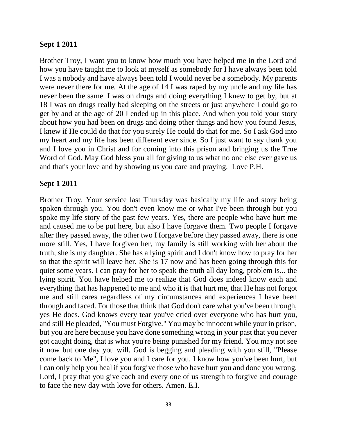#### **Sept 1 2011**

Brother Troy, I want you to know how much you have helped me in the Lord and how you have taught me to look at myself as somebody for I have always been told I was a nobody and have always been told I would never be a somebody. My parents were never there for me. At the age of 14 I was raped by my uncle and my life has never been the same. I was on drugs and doing everything I knew to get by, but at 18 I was on drugs really bad sleeping on the streets or just anywhere I could go to get by and at the age of 20 I ended up in this place. And when you told your story about how you had been on drugs and doing other things and how you found Jesus, I knew if He could do that for you surely He could do that for me. So I ask God into my heart and my life has been different ever since. So I just want to say thank you and I love you in Christ and for coming into this prison and bringing us the True Word of God. May God bless you all for giving to us what no one else ever gave us and that's your love and by showing us you care and praying. Love P.H.

#### **Sept 1 2011**

Brother Troy, Your service last Thursday was basically my life and story being spoken through you. You don't even know me or what I've been through but you spoke my life story of the past few years. Yes, there are people who have hurt me and caused me to be put here, but also I have forgave them. Two people I forgave after they passed away, the other two I forgave before they passed away, there is one more still. Yes, I have forgiven her, my family is still working with her about the truth, she is my daughter. She has a lying spirit and I don't know how to pray for her so that the spirit will leave her. She is 17 now and has been going through this for quiet some years. I can pray for her to speak the truth all day long, problem is... the lying spirit. You have helped me to realize that God does indeed know each and everything that has happened to me and who it is that hurt me, that He has not forgot me and still cares regardless of my circumstances and experiences I have been through and faced. For those that think that God don't care what you've been through, yes He does. God knows every tear you've cried over everyone who has hurt you, and still He pleaded, "You must Forgive." You may be innocent while your in prison, but you are here because you have done something wrong in your past that you never got caught doing, that is what you're being punished for my friend. You may not see it now but one day you will. God is begging and pleading with you still, "Please come back to Me", I love you and I care for you. I know how you've been hurt, but I can only help you heal if you forgive those who have hurt you and done you wrong. Lord, I pray that you give each and every one of us strength to forgive and courage to face the new day with love for others. Amen. E.I.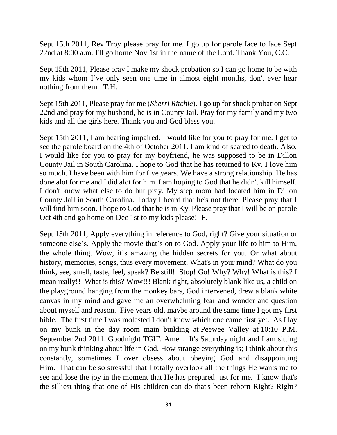Sept 15th 2011, Rev Troy please pray for me. I go up for parole face to face Sept 22nd at 8:00 a.m. I'll go home Nov 1st in the name of the Lord. Thank You, C.C.

Sept 15th 2011, Please pray I make my shock probation so I can go home to be with my kids whom I've only seen one time in almost eight months, don't ever hear nothing from them. T.H.

Sept 15th 2011, Please pray for me (*Sherri Ritchie*). I go up for shock probation Sept 22nd and pray for my husband, he is in County Jail. Pray for my family and my two kids and all the girls here. Thank you and God bless you.

Sept 15th 2011, I am hearing impaired. I would like for you to pray for me. I get to see the parole board on the 4th of October 2011. I am kind of scared to death. Also, I would like for you to pray for my boyfriend, he was supposed to be in Dillon County Jail in South Carolina. I hope to God that he has returned to Ky. I love him so much. I have been with him for five years. We have a strong relationship. He has done alot for me and I did alot for him. I am hoping to God that he didn't kill himself. I don't know what else to do but pray. My step mom had located him in Dillon County Jail in South Carolina. Today I heard that he's not there. Please pray that I will find him soon. I hope to God that he is in Ky. Please pray that I will be on parole Oct 4th and go home on Dec 1st to my kids please! F.

Sept 15th 2011, Apply everything in reference to God, right? Give your situation or someone else's. Apply the movie that's on to God. Apply your life to him to Him, the whole thing. Wow, it's amazing the hidden secrets for you. Or what about history, memories, songs, thus every movement. What's in your mind? What do you think, see, smell, taste, feel, speak? Be still! Stop! Go! Why? Why! What is this? I mean really!! What is this? Wow!!! Blank right, absolutely blank like us, a child on the playground hanging from the monkey bars, God intervened, drew a blank white canvas in my mind and gave me an overwhelming fear and wonder and question about myself and reason. Five years old, maybe around the same time I got my first bible. The first time I was molested I don't know which one came first yet. As I lay on my bunk in the day room main building at Peewee Valley at 10:10 P.M. September 2nd 2011. Goodnight TGIF. Amen. It's Saturday night and I am sitting on my bunk thinking about life in God. How strange everything is; I think about this constantly, sometimes I over obsess about obeying God and disappointing Him. That can be so stressful that I totally overlook all the things He wants me to see and lose the joy in the moment that He has prepared just for me. I know that's the silliest thing that one of His children can do that's been reborn Right? Right?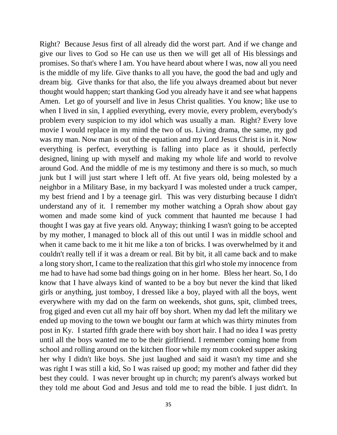Right? Because Jesus first of all already did the worst part. And if we change and give our lives to God so He can use us then we will get all of His blessings and promises. So that's where I am. You have heard about where I was, now all you need is the middle of my life. Give thanks to all you have, the good the bad and ugly and dream big. Give thanks for that also, the life you always dreamed about but never thought would happen; start thanking God you already have it and see what happens Amen. Let go of yourself and live in Jesus Christ qualities. You know; like use to when I lived in sin, I applied everything, every movie, every problem, everybody's problem every suspicion to my idol which was usually a man. Right? Every love movie I would replace in my mind the two of us. Living drama, the same, my god was my man. Now man is out of the equation and my Lord Jesus Christ is in it. Now everything is perfect, everything is falling into place as it should, perfectly designed, lining up with myself and making my whole life and world to revolve around God. And the middle of me is my testimony and there is so much, so much junk but I will just start where I left off. At five years old, being molested by a neighbor in a Military Base, in my backyard I was molested under a truck camper, my best friend and I by a teenage girl. This was very disturbing because I didn't understand any of it. I remember my mother watching a Oprah show about gay women and made some kind of yuck comment that haunted me because I had thought I was gay at five years old. Anyway; thinking I wasn't going to be accepted by my mother, I managed to block all of this out until I was in middle school and when it came back to me it hit me like a ton of bricks. I was overwhelmed by it and couldn't really tell if it was a dream or real. Bit by bit, it all came back and to make a long story short, I came to the realization that this girl who stole my innocence from me had to have had some bad things going on in her home. Bless her heart. So, I do know that I have always kind of wanted to be a boy but never the kind that liked girls or anything, just tomboy, I dressed like a boy, played with all the boys, went everywhere with my dad on the farm on weekends, shot guns, spit, climbed trees, frog giged and even cut all my hair off boy short. When my dad left the military we ended up moving to the town we bought our farm at which was thirty minutes from post in Ky. I started fifth grade there with boy short hair. I had no idea I was pretty until all the boys wanted me to be their girlfriend. I remember coming home from school and rolling around on the kitchen floor while my mom cooked supper asking her why I didn't like boys. She just laughed and said it wasn't my time and she was right I was still a kid, So I was raised up good; my mother and father did they best they could. I was never brought up in church; my parent's always worked but they told me about God and Jesus and told me to read the bible. I just didn't. In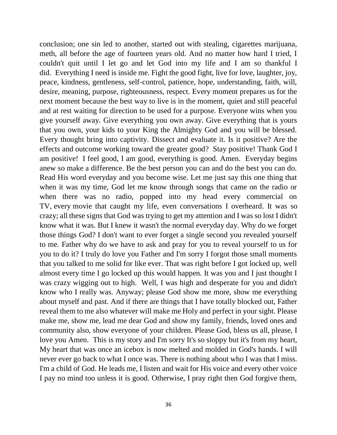conclusion; one sin led to another, started out with stealing, cigarettes marijuana, meth, all before the age of fourteen years old. And no matter how hard I tried, I couldn't quit until I let go and let God into my life and I am so thankful I did. Everything I need is inside me. Fight the good fight, live for love, laughter, joy, peace, kindness, gentleness, self-control, patience, hope, understanding, faith, will, desire, meaning, purpose, righteousness, respect. Every moment prepares us for the next moment because the best way to live is in the moment, quiet and still peaceful and at rest waiting for direction to be used for a purpose. Everyone wins when you give yourself away. Give everything you own away. Give everything that is yours that you own, your kids to your King the Almighty God and you will be blessed. Every thought bring into captivity. Dissect and evaluate it. Is it positive? Are the effects and outcome working toward the greater good? Stay positive! Thank God I am positive! I feel good, I am good, everything is good. Amen. Everyday begins anew so make a difference. Be the best person you can and do the best you can do. Read His word everyday and you become wise. Let me just say this one thing that when it was my time, God let me know through songs that came on the radio or when there was no radio, popped into my head every commercial on TV, every movie that caught my life, even conversations I overheard. It was so crazy; all these signs that God was trying to get my attention and I was so lost I didn't know what it was. But I knew it wasn't the normal everyday day. Why do we forget those things God? I don't want to ever forget a single second you revealed yourself to me. Father why do we have to ask and pray for you to reveal yourself to us for you to do it? I truly do love you Father and I'm sorry I forgot those small moments that you talked to me solid for like ever. That was right before I got locked up, well almost every time I go locked up this would happen. It was you and I just thought I was crazy wigging out to high. Well, I was high and desperate for you and didn't know who I really was. Anyway; please God show me more, show me everything about myself and past. And if there are things that I have totally blocked out, Father reveal them to me also whatever will make me Holy and perfect in your sight. Please make me, show me, lead me dear God and show my family, friends, loved ones and community also, show everyone of your children. Please God, bless us all, please, I love you Amen. This is my story and I'm sorry It's so sloppy but it's from my heart, My heart that was once an icebox is now melted and molded in God's hands. I will never ever go back to what I once was. There is nothing about who I was that I miss. I'm a child of God. He leads me, I listen and wait for His voice and every other voice I pay no mind too unless it is good. Otherwise, I pray right then God forgive them,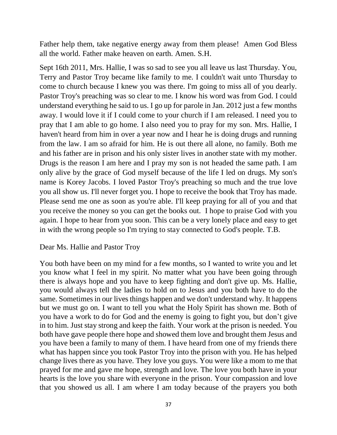Father help them, take negative energy away from them please! Amen God Bless all the world. Father make heaven on earth. Amen. S.H.

Sept 16th 2011, Mrs. Hallie, I was so sad to see you all leave us last Thursday. You, Terry and Pastor Troy became like family to me. I couldn't wait unto Thursday to come to church because I knew you was there. I'm going to miss all of you dearly. Pastor Troy's preaching was so clear to me. I know his word was from God. I could understand everything he said to us. I go up for parole in Jan. 2012 just a few months away. I would love it if I could come to your church if I am released. I need you to pray that I am able to go home. I also need you to pray for my son. Mrs. Hallie, I haven't heard from him in over a year now and I hear he is doing drugs and running from the law. I am so afraid for him. He is out there all alone, no family. Both me and his father are in prison and his only sister lives in another state with my mother. Drugs is the reason I am here and I pray my son is not headed the same path. I am only alive by the grace of God myself because of the life I led on drugs. My son's name is Korey Jacobs. I loved Pastor Troy's preaching so much and the true love you all show us. I'll never forget you. I hope to receive the book that Troy has made. Please send me one as soon as you're able. I'll keep praying for all of you and that you receive the money so you can get the books out. I hope to praise God with you again. I hope to hear from you soon. This can be a very lonely place and easy to get in with the wrong people so I'm trying to stay connected to God's people. T.B.

#### Dear Ms. Hallie and Pastor Troy

You both have been on my mind for a few months, so I wanted to write you and let you know what I feel in my spirit. No matter what you have been going through there is always hope and you have to keep fighting and don't give up. Ms. Hallie, you would always tell the ladies to hold on to Jesus and you both have to do the same. Sometimes in our lives things happen and we don't understand why. It happens but we must go on. I want to tell you what the Holy Spirit has shown me. Both of you have a work to do for God and the enemy is going to fight you, but don't give in to him. Just stay strong and keep the faith. Your work at the prison is needed. You both have gave people there hope and showed them love and brought them Jesus and you have been a family to many of them. I have heard from one of my friends there what has happen since you took Pastor Troy into the prison with you. He has helped change lives there as you have. They love you guys. You were like a mom to me that prayed for me and gave me hope, strength and love. The love you both have in your hearts is the love you share with everyone in the prison. Your compassion and love that you showed us all. I am where I am today because of the prayers you both